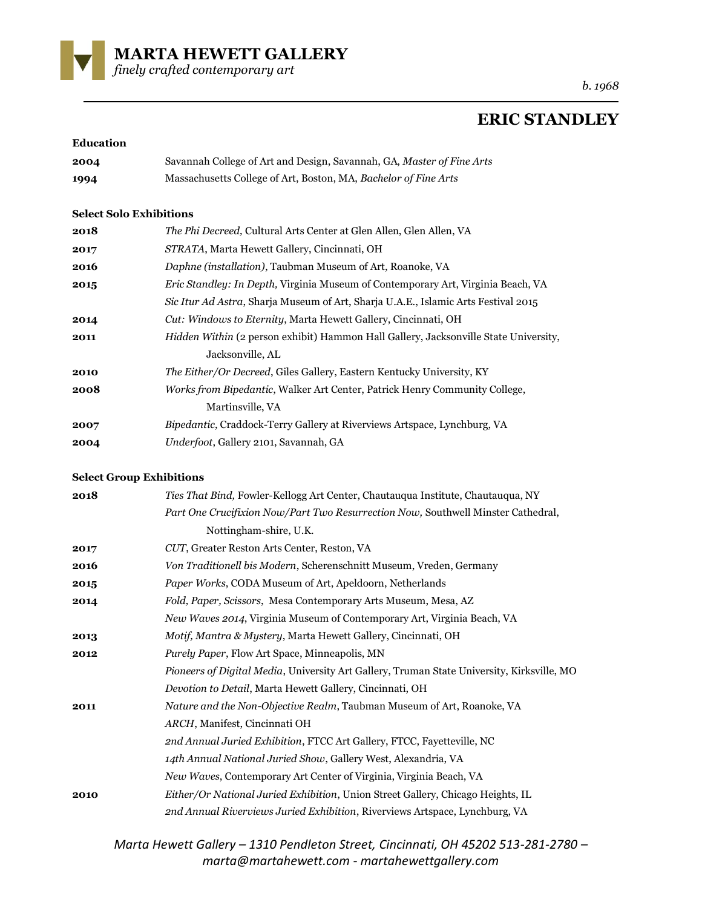

*b. 1968*

## **ERIC STANDLEY**

## **Education**

| 2004 | Savannah College of Art and Design, Savannah, GA, Master of Fine Arts |
|------|-----------------------------------------------------------------------|
| 1994 | Massachusetts College of Art, Boston, MA, Bachelor of Fine Arts       |

## **Select Solo Exhibitions**

| 2018 | <i>The Phi Decreed, Cultural Arts Center at Glen Allen, Glen Allen, VA</i>                  |
|------|---------------------------------------------------------------------------------------------|
| 2017 | <i>STRATA</i> , Marta Hewett Gallery, Cincinnati, OH                                        |
| 2016 | Daphne (installation), Taubman Museum of Art, Roanoke, VA                                   |
| 2015 | <i>Eric Standley: In Depth, Virginia Museum of Contemporary Art, Virginia Beach, VA</i>     |
|      | Sic Itur Ad Astra, Sharja Museum of Art, Sharja U.A.E., Islamic Arts Festival 2015          |
| 2014 | <i>Cut: Windows to Eternity, Marta Hewett Gallery, Cincinnati, OH</i>                       |
| 2011 | <i>Hidden Within</i> (2 person exhibit) Hammon Hall Gallery, Jacksonville State University, |
|      | Jacksonville, AL                                                                            |
| 2010 | <i>The Either/Or Decreed, Giles Gallery, Eastern Kentucky University, KY</i>                |
| 2008 | <i>Works from Bipedantic, Walker Art Center, Patrick Henry Community College,</i>           |
|      | Martinsville, VA                                                                            |
| 2007 | Bipedantic, Craddock-Terry Gallery at Riverviews Artspace, Lynchburg, VA                    |
| 2004 | <i>Underfoot, Gallery 2101, Savannah, GA</i>                                                |

## **Select Group Exhibitions**

| 2018 | <i>Ties That Bind, Fowler-Kellogg Art Center, Chautauqua Institute, Chautauqua, NY</i>     |
|------|--------------------------------------------------------------------------------------------|
|      | Part One Crucifixion Now/Part Two Resurrection Now, Southwell Minster Cathedral,           |
|      | Nottingham-shire, U.K.                                                                     |
| 2017 | CUT, Greater Reston Arts Center, Reston, VA                                                |
| 2016 | Von Traditionell bis Modern, Scherenschnitt Museum, Vreden, Germany                        |
| 2015 | <i>Paper Works, CODA Museum of Art, Apeldoorn, Netherlands</i>                             |
| 2014 | Fold, Paper, Scissors, Mesa Contemporary Arts Museum, Mesa, AZ                             |
|      | <i>New Waves 2014</i> , Virginia Museum of Contemporary Art, Virginia Beach, VA            |
| 2013 | <i>Motif, Mantra &amp; Mystery, Marta Hewett Gallery, Cincinnati, OH</i>                   |
| 2012 | <i>Purely Paper</i> , Flow Art Space, Minneapolis, MN                                      |
|      | Pioneers of Digital Media, University Art Gallery, Truman State University, Kirksville, MO |
|      | Devotion to Detail, Marta Hewett Gallery, Cincinnati, OH                                   |
| 2011 | Nature and the Non-Objective Realm, Taubman Museum of Art, Roanoke, VA                     |
|      | ARCH, Manifest, Cincinnati OH                                                              |
|      | 2nd Annual Juried Exhibition, FTCC Art Gallery, FTCC, Fayetteville, NC                     |
|      | 14th Annual National Juried Show, Gallery West, Alexandria, VA                             |
|      | New Waves, Contemporary Art Center of Virginia, Virginia Beach, VA                         |
| 2010 | Either/Or National Juried Exhibition, Union Street Gallery, Chicago Heights, IL            |
|      | 2nd Annual Riverviews Juried Exhibition, Riverviews Artspace, Lynchburg, VA                |

*Marta Hewett Gallery – 1310 Pendleton Street, Cincinnati, OH 45202 513-281-2780 – marta@martahewett.com - martahewettgallery.com*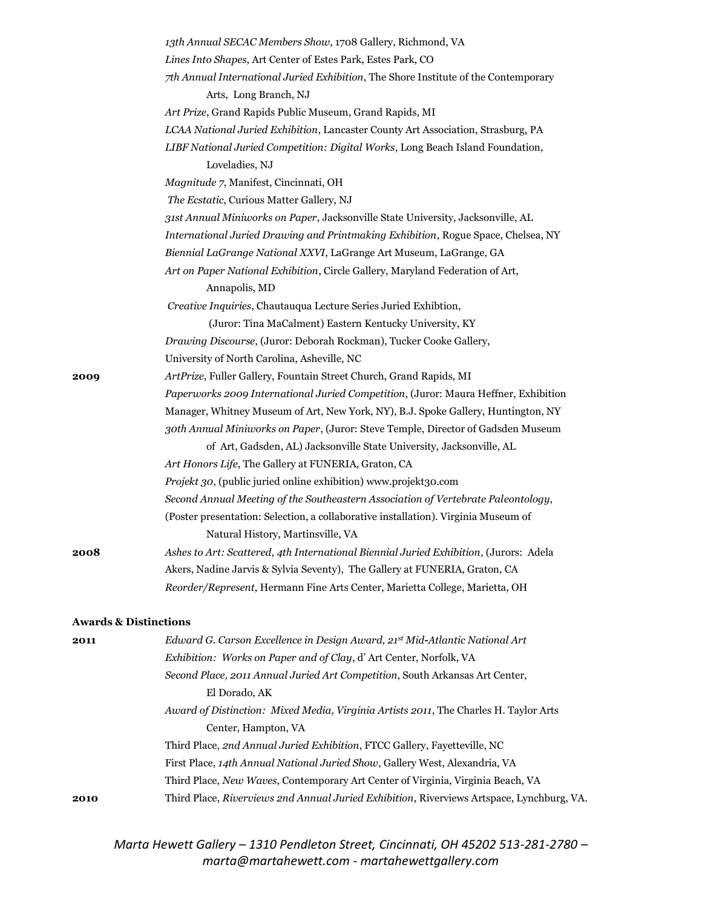|      | 13th Annual SECAC Members Show, 1708 Gallery, Richmond, VA                            |
|------|---------------------------------------------------------------------------------------|
|      | Lines Into Shapes, Art Center of Estes Park, Estes Park, CO                           |
|      | 7th Annual International Juried Exhibition, The Shore Institute of the Contemporary   |
|      | Arts, Long Branch, NJ                                                                 |
|      | Art Prize, Grand Rapids Public Museum, Grand Rapids, MI                               |
|      | LCAA National Juried Exhibition, Lancaster County Art Association, Strasburg, PA      |
|      | LIBF National Juried Competition: Digital Works, Long Beach Island Foundation,        |
|      | Loveladies, NJ                                                                        |
|      | Magnitude 7, Manifest, Cincinnati, OH                                                 |
|      | The Ecstatic, Curious Matter Gallery, NJ                                              |
|      | 31st Annual Miniworks on Paper, Jacksonville State University, Jacksonville, AL       |
|      | International Juried Drawing and Printmaking Exhibition, Rogue Space, Chelsea, NY     |
|      | Biennial LaGrange National XXVI, LaGrange Art Museum, LaGrange, GA                    |
|      | Art on Paper National Exhibition, Circle Gallery, Maryland Federation of Art,         |
|      | Annapolis, MD                                                                         |
|      | Creative Inquiries, Chautauqua Lecture Series Juried Exhibtion,                       |
|      | (Juror: Tina MaCalment) Eastern Kentucky University, KY                               |
|      | Drawing Discourse, (Juror: Deborah Rockman), Tucker Cooke Gallery,                    |
|      | University of North Carolina, Asheville, NC                                           |
| 2009 | ArtPrize, Fuller Gallery, Fountain Street Church, Grand Rapids, MI                    |
|      | Paperworks 2009 International Juried Competition, (Juror: Maura Heffner, Exhibition   |
|      | Manager, Whitney Museum of Art, New York, NY), B.J. Spoke Gallery, Huntington, NY     |
|      | 30th Annual Miniworks on Paper, (Juror: Steve Temple, Director of Gadsden Museum      |
|      | of Art, Gadsden, AL) Jacksonville State University, Jacksonville, AL                  |
|      | Art Honors Life, The Gallery at FUNERIA, Graton, CA                                   |
|      | Projekt 30, (public juried online exhibition) www.projekt30.com                       |
|      | Second Annual Meeting of the Southeastern Association of Vertebrate Paleontology,     |
|      | (Poster presentation: Selection, a collaborative installation). Virginia Museum of    |
|      | Natural History, Martinsville, VA                                                     |
| 2008 | Ashes to Art: Scattered, 4th International Biennial Juried Exhibition, (Jurors: Adela |
|      | Akers, Nadine Jarvis & Sylvia Seventy), The Gallery at FUNERIA, Graton, CA            |
|      | Reorder/Represent, Hermann Fine Arts Center, Marietta College, Marietta, OH           |
|      | <b>Awards &amp; Distinctions</b>                                                      |
| 2011 | Edward G. Carson Excellence in Design Award, 21st Mid-Atlantic National Art           |
|      | Exhibition: Works on Paper and of Clay, d' Art Center, Norfolk, VA                    |
|      | Second Place, 2011 Annual Juried Art Competition, South Arkansas Art Center,          |
|      | El Dorado, AK                                                                         |
|      | Award of Distinction: Mixed Media, Virginia Artists 2011, The Charles H. Taylor Arts  |
|      | Center, Hampton, VA                                                                   |
|      | Third Place, 2nd Annual Juried Exhibition, FTCC Gallery, Fayetteville, NC             |
|      | First Place, 14th Annual National Juried Show, Gallery West, Alexandria, VA           |
|      | Third Place, New Waves, Contemporary Art Center of Virginia, Virginia Beach, VA       |

**2010** Third Place, *Riverviews 2nd Annual Juried Exhibition*, Riverviews Artspace, Lynchburg, VA.

*Marta Hewett Gallery – 1310 Pendleton Street, Cincinnati, OH 45202 513-281-2780 – marta@martahewett.com - martahewettgallery.com*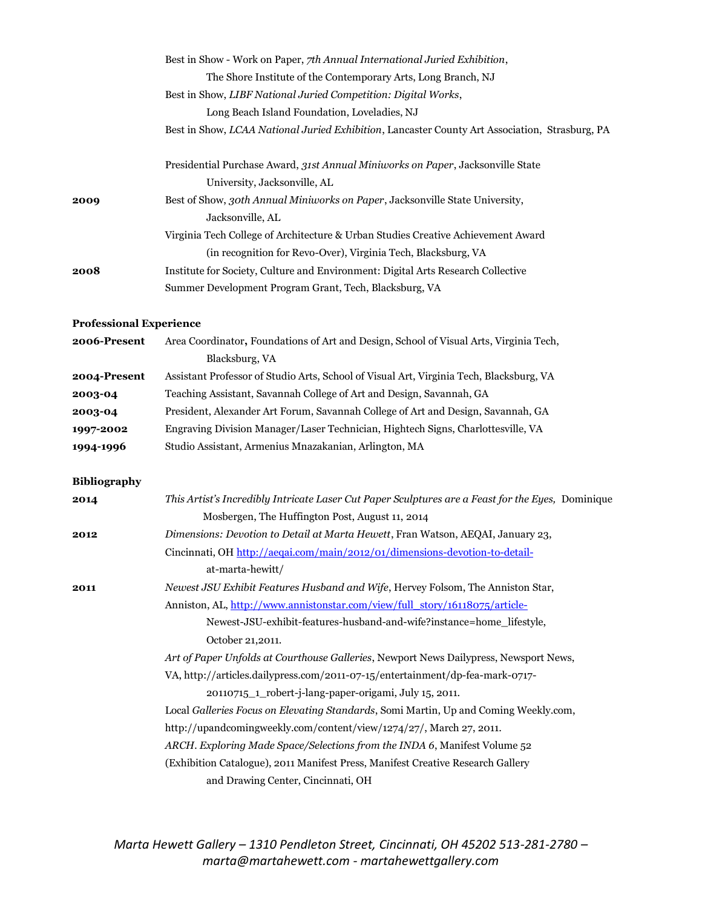|                                | Best in Show - Work on Paper, 7th Annual International Juried Exhibition,                                                                            |
|--------------------------------|------------------------------------------------------------------------------------------------------------------------------------------------------|
|                                | The Shore Institute of the Contemporary Arts, Long Branch, NJ                                                                                        |
|                                | Best in Show, LIBF National Juried Competition: Digital Works,                                                                                       |
|                                | Long Beach Island Foundation, Loveladies, NJ                                                                                                         |
|                                | Best in Show, LCAA National Juried Exhibition, Lancaster County Art Association, Strasburg, PA                                                       |
|                                | Presidential Purchase Award, 31st Annual Miniworks on Paper, Jacksonville State                                                                      |
|                                | University, Jacksonville, AL                                                                                                                         |
| 2009                           | Best of Show, 30th Annual Miniworks on Paper, Jacksonville State University,<br>Jacksonville, AL                                                     |
|                                | Virginia Tech College of Architecture & Urban Studies Creative Achievement Award                                                                     |
|                                | (in recognition for Revo-Over), Virginia Tech, Blacksburg, VA                                                                                        |
| 2008                           | Institute for Society, Culture and Environment: Digital Arts Research Collective                                                                     |
|                                | Summer Development Program Grant, Tech, Blacksburg, VA                                                                                               |
| <b>Professional Experience</b> |                                                                                                                                                      |
| 2006-Present                   | Area Coordinator, Foundations of Art and Design, School of Visual Arts, Virginia Tech,                                                               |
|                                | Blacksburg, VA                                                                                                                                       |
| 2004-Present                   | Assistant Professor of Studio Arts, School of Visual Art, Virginia Tech, Blacksburg, VA                                                              |
| 2003-04                        | Teaching Assistant, Savannah College of Art and Design, Savannah, GA                                                                                 |
| 2003-04                        | President, Alexander Art Forum, Savannah College of Art and Design, Savannah, GA                                                                     |
| 1997-2002                      | Engraving Division Manager/Laser Technician, Hightech Signs, Charlottesville, VA                                                                     |
| 1994-1996                      | Studio Assistant, Armenius Mnazakanian, Arlington, MA                                                                                                |
| <b>Bibliography</b>            |                                                                                                                                                      |
| 2014                           | This Artist's Incredibly Intricate Laser Cut Paper Sculptures are a Feast for the Eyes, Dominique<br>Mosbergen, The Huffington Post, August 11, 2014 |
| 2012                           | Dimensions: Devotion to Detail at Marta Hewett, Fran Watson, AEQAI, January 23,                                                                      |
|                                | Cincinnati, OH http://aeqai.com/main/2012/01/dimensions-devotion-to-detail-<br>at-marta-hewitt/                                                      |
| 2011                           | Newest JSU Exhibit Features Husband and Wife, Hervey Folsom, The Anniston Star,                                                                      |
|                                | Anniston, AL, http://www.annistonstar.com/view/full_story/16118075/article-                                                                          |
|                                | Newest-JSU-exhibit-features-husband-and-wife?instance=home_lifestyle,                                                                                |
|                                | October 21,2011.                                                                                                                                     |
|                                | Art of Paper Unfolds at Courthouse Galleries, Newport News Dailypress, Newsport News,                                                                |
|                                | VA, http://articles.dailypress.com/2011-07-15/entertainment/dp-fea-mark-0717-                                                                        |
|                                | 20110715_1_robert-j-lang-paper-origami, July 15, 2011.                                                                                               |
|                                | Local Galleries Focus on Elevating Standards, Somi Martin, Up and Coming Weekly.com,                                                                 |
|                                | http://upandcomingweekly.com/content/view/1274/27/, March 27, 2011.                                                                                  |
|                                | ARCH. Exploring Made Space/Selections from the INDA 6, Manifest Volume 52                                                                            |
|                                | (Exhibition Catalogue), 2011 Manifest Press, Manifest Creative Research Gallery                                                                      |
|                                | and Drawing Center, Cincinnati, OH                                                                                                                   |

*Marta Hewett Gallery – 1310 Pendleton Street, Cincinnati, OH 45202 513-281-2780 – marta@martahewett.com - martahewettgallery.com*